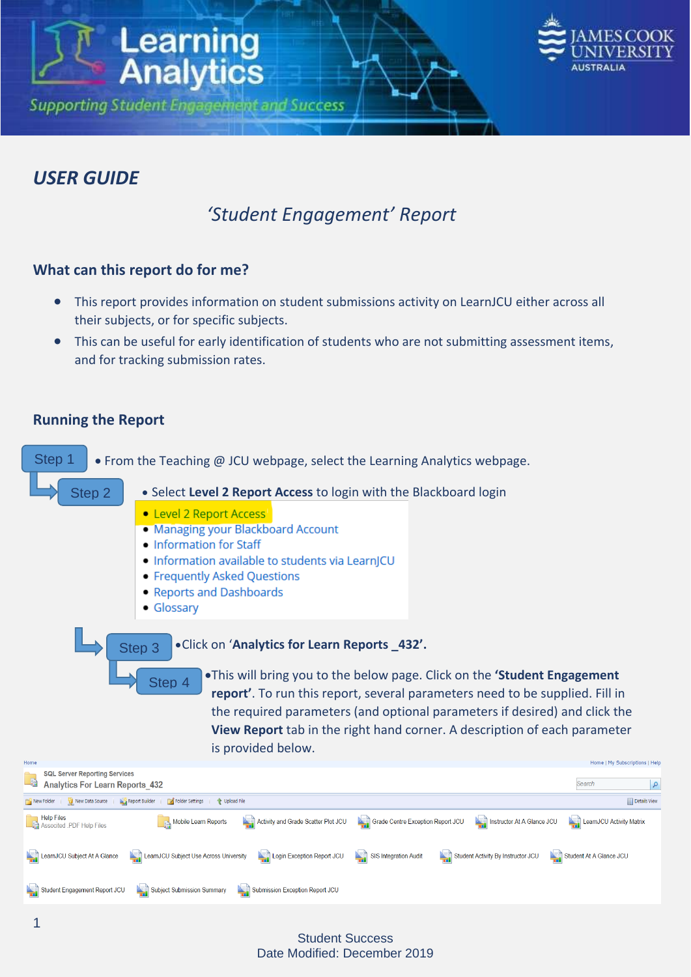



م ا

## *USER GUIDE*

# *'Student Engagement' Report*

## **What can this report do for me?**

- This report provides information on student submissions activity on LearnJCU either across all their subjects, or for specific subjects.
- This can be useful for early identification of students who are not submitting assessment items, and for tracking submission rates.

## **Running the Report**



#### Student Success Date Modified: December 2019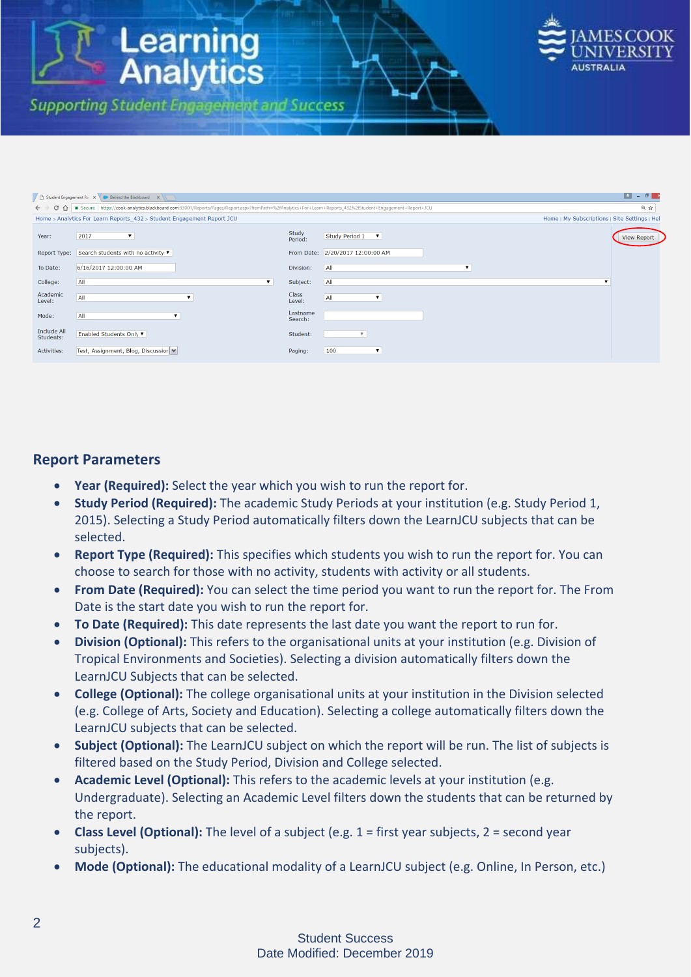

| $\vert$ $\vert$ $\vert$<br>$ \theta$ $\rightarrow$<br>Student Engagement Rep $x \setminus x$ Behind the Blackboard $x \setminus \setminus x$                                     |                                                                        |                     |                                           |   |                                               |  |  |  |  |  |
|----------------------------------------------------------------------------------------------------------------------------------------------------------------------------------|------------------------------------------------------------------------|---------------------|-------------------------------------------|---|-----------------------------------------------|--|--|--|--|--|
| C 1 2 2%2fStudent+Engagement+Report+JCU 3D01/Reports/Pages/Report.aspx?ItemPath=%2fAnalytics+For+Learn+Reports_432%2fStudent+Engagement+Report+JCU<br>$\leftarrow$ $\rightarrow$ |                                                                        |                     |                                           |   |                                               |  |  |  |  |  |
|                                                                                                                                                                                  | Home > Analytics For Learn Reports_432 > Student Engagement Report JCU |                     |                                           |   | Home   My Subscriptions   Site Settings   Hel |  |  |  |  |  |
| Year:                                                                                                                                                                            | 2017<br>$\blacktriangledown$                                           | Study<br>Period:    | Study Period 1<br>$\overline{\mathbf{v}}$ |   | <b>View Report</b>                            |  |  |  |  |  |
|                                                                                                                                                                                  | Report Type: Search students with no activity ▼                        |                     | From Date: 2/20/2017 12:00:00 AM          |   |                                               |  |  |  |  |  |
| To Date:                                                                                                                                                                         | 6/16/2017 12:00:00 AM                                                  | Division:           | $\overline{A}$                            | ▼ |                                               |  |  |  |  |  |
| College:                                                                                                                                                                         | All<br>$\mathbf{v}$                                                    | Subject:            | All                                       |   |                                               |  |  |  |  |  |
| Academic<br>Level:                                                                                                                                                               | All<br>$\overline{\mathbf{v}}$                                         | Class<br>Level:     | All<br>$\overline{\mathbf{v}}$            |   |                                               |  |  |  |  |  |
| Mode:                                                                                                                                                                            | All<br>▼.                                                              | Lastname<br>Search: |                                           |   |                                               |  |  |  |  |  |
| <b>Include All</b><br>Students:                                                                                                                                                  | Enabled Students Only ▼                                                | Student:            | $\overline{\mathbf{v}}$                   |   |                                               |  |  |  |  |  |
| <b>Activities:</b>                                                                                                                                                               | Test, Assignment, Blog, Discussior ♥                                   | Paging:             | 100<br>▼                                  |   |                                               |  |  |  |  |  |

## **Report Parameters**

- **Year (Required):** Select the year which you wish to run the report for.
- **Study Period (Required):** The academic Study Periods at your institution (e.g. Study Period 1, 2015). Selecting a Study Period automatically filters down the LearnJCU subjects that can be selected.
- **Report Type (Required):** This specifies which students you wish to run the report for. You can choose to search for those with no activity, students with activity or all students.
- **From Date (Required):** You can select the time period you want to run the report for. The From Date is the start date you wish to run the report for.
- **To Date (Required):** This date represents the last date you want the report to run for.
- **Division (Optional):** This refers to the organisational units at your institution (e.g. Division of Tropical Environments and Societies). Selecting a division automatically filters down the LearnJCU Subjects that can be selected.
- **College (Optional):** The college organisational units at your institution in the Division selected (e.g. College of Arts, Society and Education). Selecting a college automatically filters down the LearnJCU subjects that can be selected.
- **Subject (Optional):** The LearnJCU subject on which the report will be run. The list of subjects is filtered based on the Study Period, Division and College selected.
- **Academic Level (Optional):** This refers to the academic levels at your institution (e.g. Undergraduate). Selecting an Academic Level filters down the students that can be returned by the report.
- **Class Level (Optional):** The level of a subject (e.g. 1 = first year subjects, 2 = second year subjects).
- **Mode (Optional):** The educational modality of a LearnJCU subject (e.g. Online, In Person, etc.)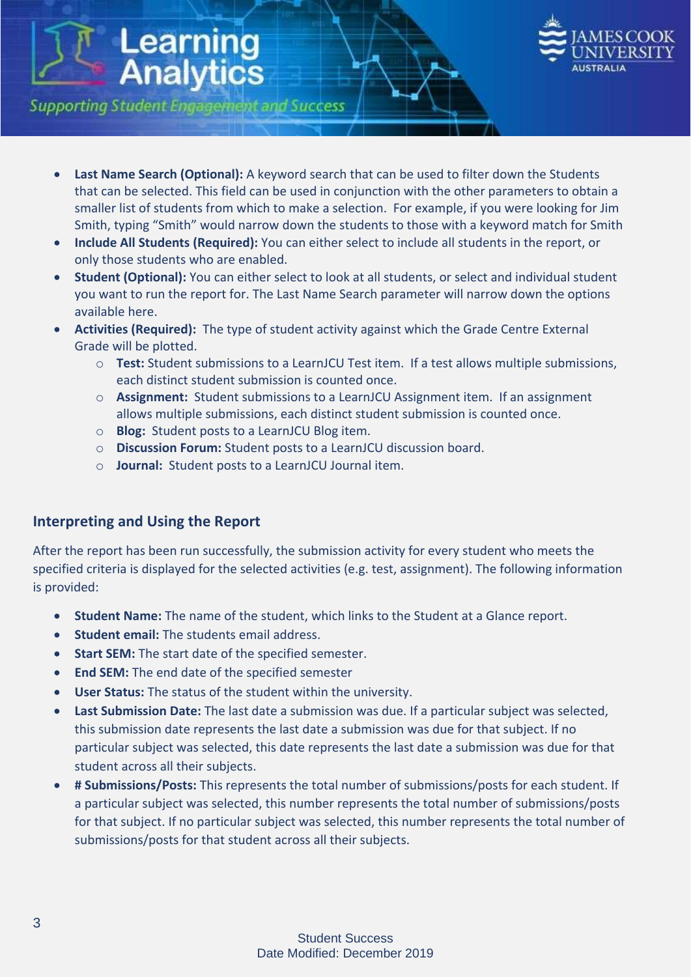

**Supporting Student Engagement and Success** 

**Learning<br>Analytics** 

- **Last Name Search (Optional):** A keyword search that can be used to filter down the Students that can be selected. This field can be used in conjunction with the other parameters to obtain a smaller list of students from which to make a selection. For example, if you were looking for Jim Smith, typing "Smith" would narrow down the students to those with a keyword match for Smith
- **Include All Students (Required):** You can either select to include all students in the report, or only those students who are enabled.
- **Student (Optional):** You can either select to look at all students, or select and individual student you want to run the report for. The Last Name Search parameter will narrow down the options available here.
- **Activities (Required):** The type of student activity against which the Grade Centre External Grade will be plotted.
	- o **Test:** Student submissions to a LearnJCU Test item. If a test allows multiple submissions, each distinct student submission is counted once.
	- o **Assignment:** Student submissions to a LearnJCU Assignment item. If an assignment allows multiple submissions, each distinct student submission is counted once.
	- o **Blog:** Student posts to a LearnJCU Blog item.
	- o **Discussion Forum:** Student posts to a LearnJCU discussion board.
	- o **Journal:** Student posts to a LearnJCU Journal item.

## **Interpreting and Using the Report**

After the report has been run successfully, the submission activity for every student who meets the specified criteria is displayed for the selected activities (e.g. test, assignment). The following information is provided:

- **Student Name:** The name of the student, which links to the Student at a Glance report.
- **Student email:** The students email address.
- **Start SEM:** The start date of the specified semester.
- **End SEM:** The end date of the specified semester
- **User Status:** The status of the student within the university.
- **Last Submission Date:** The last date a submission was due. If a particular subject was selected, this submission date represents the last date a submission was due for that subject. If no particular subject was selected, this date represents the last date a submission was due for that student across all their subjects.
- **# Submissions/Posts:** This represents the total number of submissions/posts for each student. If a particular subject was selected, this number represents the total number of submissions/posts for that subject. If no particular subject was selected, this number represents the total number of submissions/posts for that student across all their subjects.